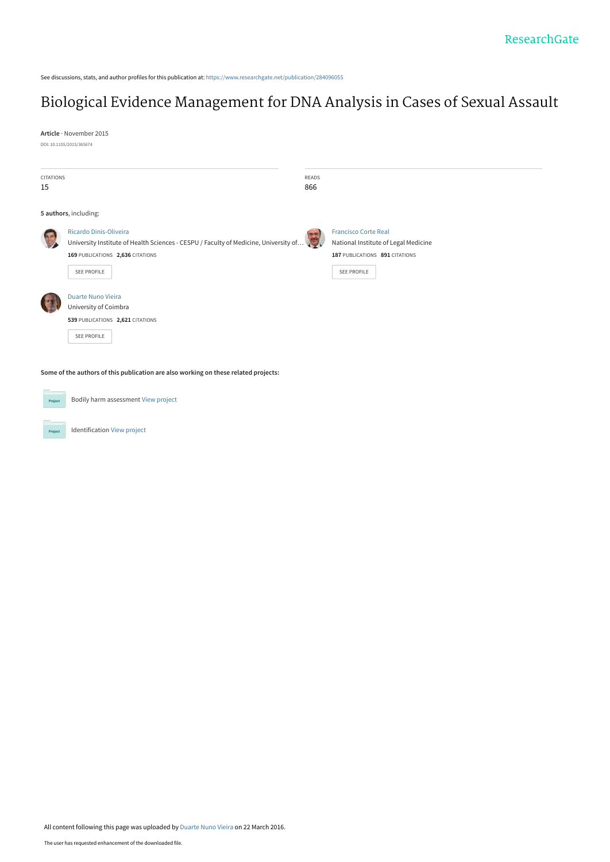See discussions, stats, and author profiles for this publication at: [https://www.researchgate.net/publication/284096055](https://www.researchgate.net/publication/284096055_Biological_Evidence_Management_for_DNA_Analysis_in_Cases_of_Sexual_Assault?enrichId=rgreq-15857d5e931a647552691d57b32467c3-XXX&enrichSource=Y292ZXJQYWdlOzI4NDA5NjA1NTtBUzozNDI0MTI4NTQ2MTE5NzRAMTQ1ODY0ODk5NDYwMw%3D%3D&el=1_x_2&_esc=publicationCoverPdf)

# [Biological Evidence Management for DNA Analysis in Cases of Sexual Assault](https://www.researchgate.net/publication/284096055_Biological_Evidence_Management_for_DNA_Analysis_in_Cases_of_Sexual_Assault?enrichId=rgreq-15857d5e931a647552691d57b32467c3-XXX&enrichSource=Y292ZXJQYWdlOzI4NDA5NjA1NTtBUzozNDI0MTI4NTQ2MTE5NzRAMTQ1ODY0ODk5NDYwMw%3D%3D&el=1_x_3&_esc=publicationCoverPdf)

**Article** · November 2015

DOI: 10.1155/2015/365674

| <b>CITATIONS</b><br>15 | READS<br>866                                                                                                                                                      |                                                                                                                      |
|------------------------|-------------------------------------------------------------------------------------------------------------------------------------------------------------------|----------------------------------------------------------------------------------------------------------------------|
|                        | 5 authors, including:                                                                                                                                             |                                                                                                                      |
|                        | Ricardo Dinis-Oliveira<br>University Institute of Health Sciences - CESPU / Faculty of Medicine, University of<br>169 PUBLICATIONS 2,636 CITATIONS<br>SEE PROFILE | <b>Francisco Corte Real</b><br>National Institute of Legal Medicine<br>187 PUBLICATIONS 891 CITATIONS<br>SEE PROFILE |
|                        | <b>Duarte Nuno Vieira</b><br>University of Coimbra<br>539 PUBLICATIONS 2,621 CITATIONS<br>SEE PROFILE                                                             |                                                                                                                      |

**Some of the authors of this publication are also working on these related projects:**

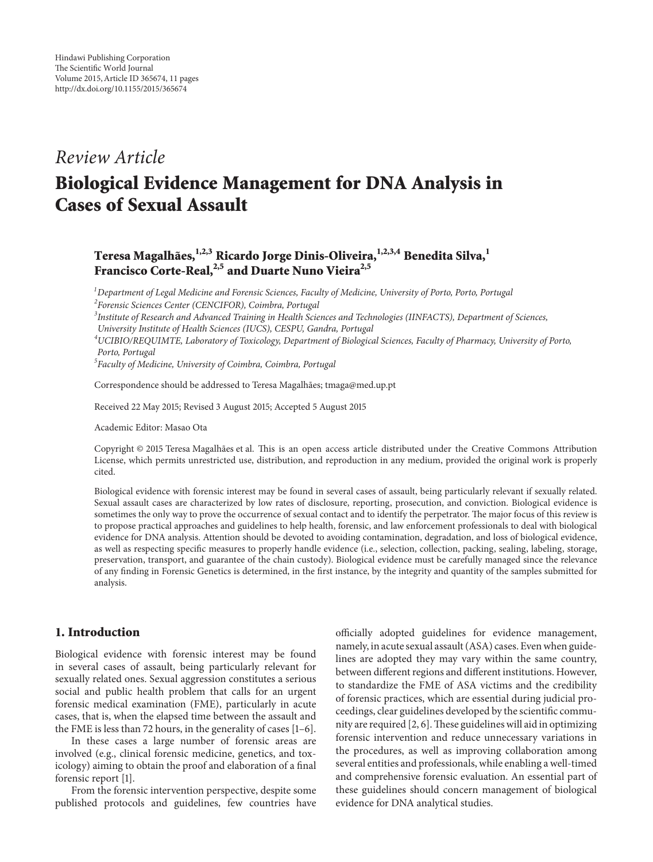# *Review Article*

# **Biological Evidence Management for DNA Analysis in Cases of Sexual Assault**

# **Teresa Magalhães,1,2,3 Ricardo Jorge Dinis-Oliveira,1,2,3,4 Benedita Silva,1 Francisco Corte-Real,2,5 and Duarte Nuno Vieira2,5**

*1 Department of Legal Medicine and Forensic Sciences, Faculty of Medicine, University of Porto, Porto, Portugal 2 Forensic Sciences Center (CENCIFOR), Coimbra, Portugal*

*3 Institute of Research and Advanced Training in Health Sciences and Technologies (IINFACTS), Department of Sciences,*

*University Institute of Health Sciences (IUCS), CESPU, Gandra, Portugal*

*4 UCIBIO/REQUIMTE, Laboratory of Toxicology, Department of Biological Sciences, Faculty of Pharmacy, University of Porto, Porto, Portugal*

*5 Faculty of Medicine, University of Coimbra, Coimbra, Portugal*

Correspondence should be addressed to Teresa Magalhães; tmaga@med.up.pt

Received 22 May 2015; Revised 3 August 2015; Accepted 5 August 2015

Academic Editor: Masao Ota

Copyright © 2015 Teresa Magalhaes et al. This is an open access article distributed under the Creative Commons Attribution ˜ License, which permits unrestricted use, distribution, and reproduction in any medium, provided the original work is properly cited.

Biological evidence with forensic interest may be found in several cases of assault, being particularly relevant if sexually related. Sexual assault cases are characterized by low rates of disclosure, reporting, prosecution, and conviction. Biological evidence is sometimes the only way to prove the occurrence of sexual contact and to identify the perpetrator. The major focus of this review is to propose practical approaches and guidelines to help health, forensic, and law enforcement professionals to deal with biological evidence for DNA analysis. Attention should be devoted to avoiding contamination, degradation, and loss of biological evidence, as well as respecting specific measures to properly handle evidence (i.e., selection, collection, packing, sealing, labeling, storage, preservation, transport, and guarantee of the chain custody). Biological evidence must be carefully managed since the relevance of any finding in Forensic Genetics is determined, in the first instance, by the integrity and quantity of the samples submitted for analysis.

### **1. Introduction**

Biological evidence with forensic interest may be found in several cases of assault, being particularly relevant for sexually related ones. Sexual aggression constitutes a serious social and public health problem that calls for an urgent forensic medical examination (FME), particularly in acute cases, that is, when the elapsed time between the assault and the FME is less than 72 hours, in the generality of cases [1–6].

In these cases a large number of forensic areas are involved (e.g., clinical forensic medicine, genetics, and toxicology) aiming to obtain the proof and elaboration of a final forensic report [1].

From the forensic intervention perspective, despite some published protocols and guidelines, few countries have officially adopted guidelines for evidence management, namely, in acute sexual assault (ASA) cases. Even when guidelines are adopted they may vary within the same country, between different regions and different institutions. However, to standardize the FME of ASA victims and the credibility of forensic practices, which are essential during judicial proceedings, clear guidelines developed by the scientific community are required [2, 6].These guidelines will aid in optimizing forensic intervention and reduce unnecessary variations in the procedures, as well as improving collaboration among several entities and professionals, while enabling a well-timed and comprehensive forensic evaluation. An essential part of these guidelines should concern management of biological evidence for DNA analytical studies.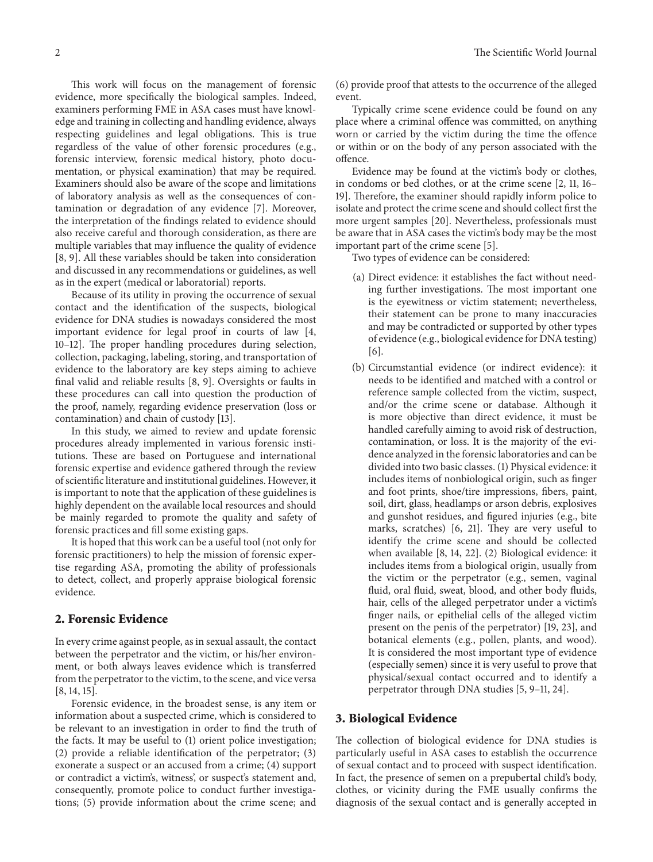This work will focus on the management of forensic evidence, more specifically the biological samples. Indeed, examiners performing FME in ASA cases must have knowledge and training in collecting and handling evidence, always respecting guidelines and legal obligations. This is true regardless of the value of other forensic procedures (e.g., forensic interview, forensic medical history, photo documentation, or physical examination) that may be required. Examiners should also be aware of the scope and limitations of laboratory analysis as well as the consequences of contamination or degradation of any evidence [7]. Moreover, the interpretation of the findings related to evidence should also receive careful and thorough consideration, as there are multiple variables that may influence the quality of evidence [8, 9]. All these variables should be taken into consideration and discussed in any recommendations or guidelines, as well as in the expert (medical or laboratorial) reports.

Because of its utility in proving the occurrence of sexual contact and the identification of the suspects, biological evidence for DNA studies is nowadays considered the most important evidence for legal proof in courts of law [4, 10–12]. The proper handling procedures during selection, collection, packaging, labeling, storing, and transportation of evidence to the laboratory are key steps aiming to achieve final valid and reliable results [8, 9]. Oversights or faults in these procedures can call into question the production of the proof, namely, regarding evidence preservation (loss or contamination) and chain of custody [13].

In this study, we aimed to review and update forensic procedures already implemented in various forensic institutions. These are based on Portuguese and international forensic expertise and evidence gathered through the review of scientific literature and institutional guidelines. However, it is important to note that the application of these guidelines is highly dependent on the available local resources and should be mainly regarded to promote the quality and safety of forensic practices and fill some existing gaps.

It is hoped that this work can be a useful tool (not only for forensic practitioners) to help the mission of forensic expertise regarding ASA, promoting the ability of professionals to detect, collect, and properly appraise biological forensic evidence.

#### **2. Forensic Evidence**

In every crime against people, as in sexual assault, the contact between the perpetrator and the victim, or his/her environment, or both always leaves evidence which is transferred from the perpetrator to the victim, to the scene, and vice versa [8, 14, 15].

Forensic evidence, in the broadest sense, is any item or information about a suspected crime, which is considered to be relevant to an investigation in order to find the truth of the facts. It may be useful to (1) orient police investigation; (2) provide a reliable identification of the perpetrator; (3) exonerate a suspect or an accused from a crime; (4) support or contradict a victim's, witness', or suspect's statement and, consequently, promote police to conduct further investigations; (5) provide information about the crime scene; and

(6) provide proof that attests to the occurrence of the alleged event.

Typically crime scene evidence could be found on any place where a criminal offence was committed, on anything worn or carried by the victim during the time the offence or within or on the body of any person associated with the offence.

Evidence may be found at the victim's body or clothes, in condoms or bed clothes, or at the crime scene [2, 11, 16– 19]. Therefore, the examiner should rapidly inform police to isolate and protect the crime scene and should collect first the more urgent samples [20]. Nevertheless, professionals must be aware that in ASA cases the victim's body may be the most important part of the crime scene [5].

Two types of evidence can be considered:

- (a) Direct evidence: it establishes the fact without needing further investigations. The most important one is the eyewitness or victim statement; nevertheless, their statement can be prone to many inaccuracies and may be contradicted or supported by other types of evidence (e.g., biological evidence for DNA testing) [6].
- (b) Circumstantial evidence (or indirect evidence): it needs to be identified and matched with a control or reference sample collected from the victim, suspect, and/or the crime scene or database. Although it is more objective than direct evidence, it must be handled carefully aiming to avoid risk of destruction, contamination, or loss. It is the majority of the evidence analyzed in the forensic laboratories and can be divided into two basic classes. (1) Physical evidence: it includes items of nonbiological origin, such as finger and foot prints, shoe/tire impressions, fibers, paint, soil, dirt, glass, headlamps or arson debris, explosives and gunshot residues, and figured injuries (e.g., bite marks, scratches) [6, 21]. They are very useful to identify the crime scene and should be collected when available [8, 14, 22]. (2) Biological evidence: it includes items from a biological origin, usually from the victim or the perpetrator (e.g., semen, vaginal fluid, oral fluid, sweat, blood, and other body fluids, hair, cells of the alleged perpetrator under a victim's finger nails, or epithelial cells of the alleged victim present on the penis of the perpetrator) [19, 23], and botanical elements (e.g., pollen, plants, and wood). It is considered the most important type of evidence (especially semen) since it is very useful to prove that physical/sexual contact occurred and to identify a perpetrator through DNA studies [5, 9–11, 24].

#### **3. Biological Evidence**

The collection of biological evidence for DNA studies is particularly useful in ASA cases to establish the occurrence of sexual contact and to proceed with suspect identification. In fact, the presence of semen on a prepubertal child's body, clothes, or vicinity during the FME usually confirms the diagnosis of the sexual contact and is generally accepted in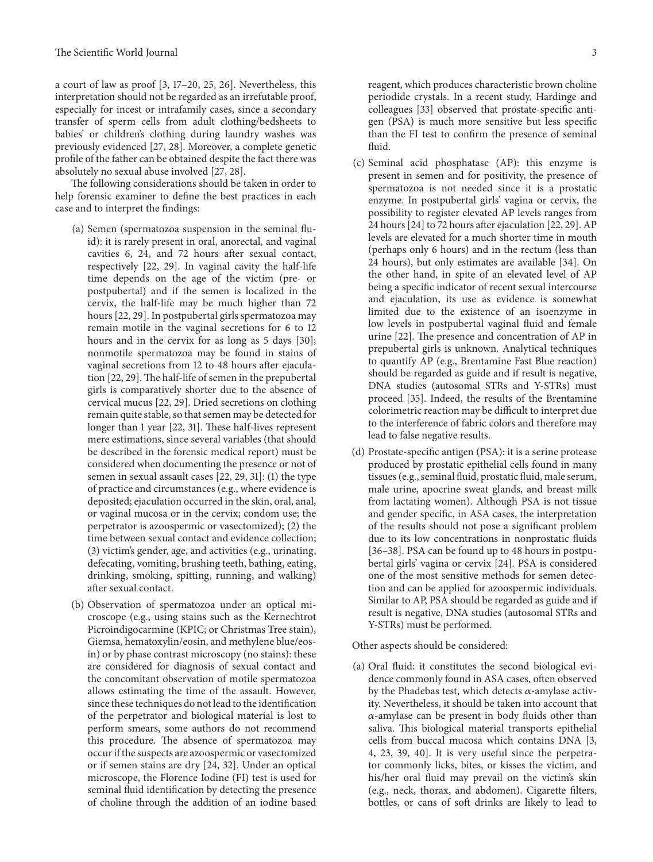a court of law as proof [3, 17–20, 25, 26]. Nevertheless, this interpretation should not be regarded as an irrefutable proof, especially for incest or intrafamily cases, since a secondary transfer of sperm cells from adult clothing/bedsheets to babies' or children's clothing during laundry washes was previously evidenced [27, 28]. Moreover, a complete genetic profile of the father can be obtained despite the fact there was absolutely no sexual abuse involved [27, 28].

The following considerations should be taken in order to help forensic examiner to define the best practices in each case and to interpret the findings:

- (a) Semen (spermatozoa suspension in the seminal fluid): it is rarely present in oral, anorectal, and vaginal cavities 6, 24, and 72 hours after sexual contact, respectively [22, 29]. In vaginal cavity the half-life time depends on the age of the victim (pre- or postpubertal) and if the semen is localized in the cervix, the half-life may be much higher than 72 hours [22, 29]. In postpubertal girls spermatozoa may remain motile in the vaginal secretions for 6 to 12 hours and in the cervix for as long as 5 days [30]; nonmotile spermatozoa may be found in stains of vaginal secretions from 12 to 48 hours after ejaculation [22, 29]. The half-life of semen in the prepubertal girls is comparatively shorter due to the absence of cervical mucus [22, 29]. Dried secretions on clothing remain quite stable, so that semen may be detected for longer than 1 year [22, 31]. These half-lives represent mere estimations, since several variables (that should be described in the forensic medical report) must be considered when documenting the presence or not of semen in sexual assault cases [22, 29, 31]: (1) the type of practice and circumstances (e.g., where evidence is deposited; ejaculation occurred in the skin, oral, anal, or vaginal mucosa or in the cervix; condom use; the perpetrator is azoospermic or vasectomized); (2) the time between sexual contact and evidence collection; (3) victim's gender, age, and activities (e.g., urinating, defecating, vomiting, brushing teeth, bathing, eating, drinking, smoking, spitting, running, and walking) after sexual contact.
- (b) Observation of spermatozoa under an optical microscope (e.g., using stains such as the Kernechtrot Picroindigocarmine (KPIC; or Christmas Tree stain), Giemsa, hematoxylin/eosin, and methylene blue/eosin) or by phase contrast microscopy (no stains): these are considered for diagnosis of sexual contact and the concomitant observation of motile spermatozoa allows estimating the time of the assault. However, since these techniques do not lead to the identification of the perpetrator and biological material is lost to perform smears, some authors do not recommend this procedure. The absence of spermatozoa may occur if the suspects are azoospermic or vasectomized or if semen stains are dry [24, 32]. Under an optical microscope, the Florence Iodine (FI) test is used for seminal fluid identification by detecting the presence of choline through the addition of an iodine based

reagent, which produces characteristic brown choline periodide crystals. In a recent study, Hardinge and colleagues [33] observed that prostate-specific antigen (PSA) is much more sensitive but less specific than the FI test to confirm the presence of seminal fluid.

- (c) Seminal acid phosphatase (AP): this enzyme is present in semen and for positivity, the presence of spermatozoa is not needed since it is a prostatic enzyme. In postpubertal girls' vagina or cervix, the possibility to register elevated AP levels ranges from 24 hours [24] to 72 hours after ejaculation [22, 29]. AP levels are elevated for a much shorter time in mouth (perhaps only 6 hours) and in the rectum (less than 24 hours), but only estimates are available [34]. On the other hand, in spite of an elevated level of AP being a specific indicator of recent sexual intercourse and ejaculation, its use as evidence is somewhat limited due to the existence of an isoenzyme in low levels in postpubertal vaginal fluid and female urine [22]. The presence and concentration of AP in prepubertal girls is unknown. Analytical techniques to quantify AP (e.g., Brentamine Fast Blue reaction) should be regarded as guide and if result is negative, DNA studies (autosomal STRs and Y-STRs) must proceed [35]. Indeed, the results of the Brentamine colorimetric reaction may be difficult to interpret due to the interference of fabric colors and therefore may lead to false negative results.
- (d) Prostate-specific antigen (PSA): it is a serine protease produced by prostatic epithelial cells found in many tissues (e.g., seminal fluid, prostatic fluid, male serum, male urine, apocrine sweat glands, and breast milk from lactating women). Although PSA is not tissue and gender specific, in ASA cases, the interpretation of the results should not pose a significant problem due to its low concentrations in nonprostatic fluids [36–38]. PSA can be found up to 48 hours in postpubertal girls' vagina or cervix [24]. PSA is considered one of the most sensitive methods for semen detection and can be applied for azoospermic individuals. Similar to AP, PSA should be regarded as guide and if result is negative, DNA studies (autosomal STRs and Y-STRs) must be performed.

Other aspects should be considered:

(a) Oral fluid: it constitutes the second biological evidence commonly found in ASA cases, often observed by the Phadebas test, which detects  $\alpha$ -amylase activity. Nevertheless, it should be taken into account that  $\alpha$ -amylase can be present in body fluids other than saliva. This biological material transports epithelial cells from buccal mucosa which contains DNA [3, 4, 23, 39, 40]. It is very useful since the perpetrator commonly licks, bites, or kisses the victim, and his/her oral fluid may prevail on the victim's skin (e.g., neck, thorax, and abdomen). Cigarette filters, bottles, or cans of soft drinks are likely to lead to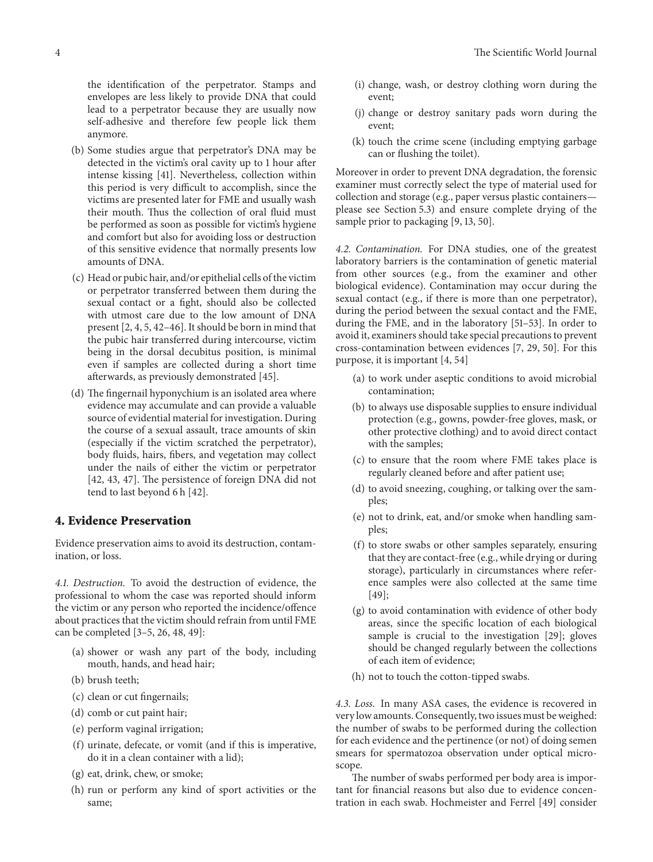the identification of the perpetrator. Stamps and envelopes are less likely to provide DNA that could lead to a perpetrator because they are usually now self-adhesive and therefore few people lick them anymore.

- (b) Some studies argue that perpetrator's DNA may be detected in the victim's oral cavity up to 1 hour after intense kissing [41]. Nevertheless, collection within this period is very difficult to accomplish, since the victims are presented later for FME and usually wash their mouth. Thus the collection of oral fluid must be performed as soon as possible for victim's hygiene and comfort but also for avoiding loss or destruction of this sensitive evidence that normally presents low amounts of DNA.
- (c) Head or pubic hair, and/or epithelial cells of the victim or perpetrator transferred between them during the sexual contact or a fight, should also be collected with utmost care due to the low amount of DNA present [2, 4, 5, 42–46]. It should be born in mind that the pubic hair transferred during intercourse, victim being in the dorsal decubitus position, is minimal even if samples are collected during a short time afterwards, as previously demonstrated [45].
- (d) The fingernail hyponychium is an isolated area where evidence may accumulate and can provide a valuable source of evidential material for investigation. During the course of a sexual assault, trace amounts of skin (especially if the victim scratched the perpetrator), body fluids, hairs, fibers, and vegetation may collect under the nails of either the victim or perpetrator [42, 43, 47]. The persistence of foreign DNA did not tend to last beyond 6 h [42].

## **4. Evidence Preservation**

Evidence preservation aims to avoid its destruction, contamination, or loss.

*4.1. Destruction.* To avoid the destruction of evidence, the professional to whom the case was reported should inform the victim or any person who reported the incidence/offence about practices that the victim should refrain from until FME can be completed [3–5, 26, 48, 49]:

- (a) shower or wash any part of the body, including mouth, hands, and head hair;
- (b) brush teeth;
- (c) clean or cut fingernails;
- (d) comb or cut paint hair;
- (e) perform vaginal irrigation;
- (f) urinate, defecate, or vomit (and if this is imperative, do it in a clean container with a lid);
- (g) eat, drink, chew, or smoke;
- (h) run or perform any kind of sport activities or the same;
- (i) change, wash, or destroy clothing worn during the event;
- (j) change or destroy sanitary pads worn during the event;
- (k) touch the crime scene (including emptying garbage can or flushing the toilet).

Moreover in order to prevent DNA degradation, the forensic examiner must correctly select the type of material used for collection and storage (e.g., paper versus plastic containers please see Section 5.3) and ensure complete drying of the sample prior to packaging [9, 13, 50].

*4.2. Contamination.* For DNA studies, one of the greatest laboratory barriers is the contamination of genetic material from other sources (e.g., from the examiner and other biological evidence). Contamination may occur during the sexual contact (e.g., if there is more than one perpetrator), during the period between the sexual contact and the FME, during the FME, and in the laboratory [51–53]. In order to avoid it, examiners should take special precautions to prevent cross-contamination between evidences [7, 29, 50]. For this purpose, it is important [4, 54]

- (a) to work under aseptic conditions to avoid microbial contamination;
- (b) to always use disposable supplies to ensure individual protection (e.g., gowns, powder-free gloves, mask, or other protective clothing) and to avoid direct contact with the samples;
- (c) to ensure that the room where FME takes place is regularly cleaned before and after patient use;
- (d) to avoid sneezing, coughing, or talking over the samples;
- (e) not to drink, eat, and/or smoke when handling samples;
- (f) to store swabs or other samples separately, ensuring that they are contact-free (e.g., while drying or during storage), particularly in circumstances where reference samples were also collected at the same time [49];
- (g) to avoid contamination with evidence of other body areas, since the specific location of each biological sample is crucial to the investigation [29]; gloves should be changed regularly between the collections of each item of evidence;
- (h) not to touch the cotton-tipped swabs.

*4.3. Loss.* In many ASA cases, the evidence is recovered in very low amounts. Consequently, two issues must be weighed: the number of swabs to be performed during the collection for each evidence and the pertinence (or not) of doing semen smears for spermatozoa observation under optical microscope.

The number of swabs performed per body area is important for financial reasons but also due to evidence concentration in each swab. Hochmeister and Ferrel [49] consider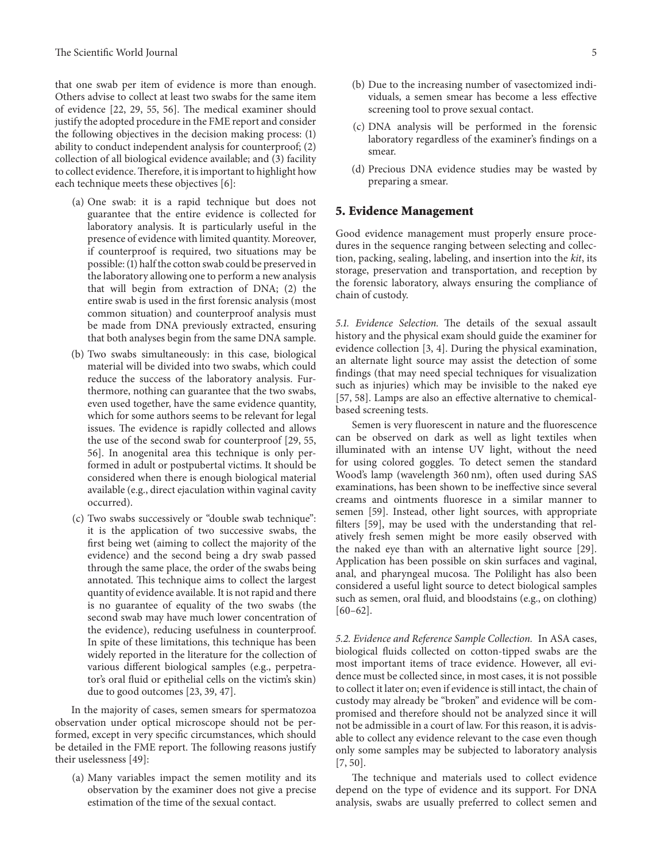that one swab per item of evidence is more than enough. Others advise to collect at least two swabs for the same item of evidence [22, 29, 55, 56]. The medical examiner should justify the adopted procedure in the FME report and consider the following objectives in the decision making process: (1) ability to conduct independent analysis for counterproof; (2) collection of all biological evidence available; and (3) facility to collect evidence.Therefore, it is important to highlight how each technique meets these objectives [6]:

- (a) One swab: it is a rapid technique but does not guarantee that the entire evidence is collected for laboratory analysis. It is particularly useful in the presence of evidence with limited quantity. Moreover, if counterproof is required, two situations may be possible: (1) half the cotton swab could be preserved in the laboratory allowing one to perform a new analysis that will begin from extraction of DNA; (2) the entire swab is used in the first forensic analysis (most common situation) and counterproof analysis must be made from DNA previously extracted, ensuring that both analyses begin from the same DNA sample.
- (b) Two swabs simultaneously: in this case, biological material will be divided into two swabs, which could reduce the success of the laboratory analysis. Furthermore, nothing can guarantee that the two swabs, even used together, have the same evidence quantity, which for some authors seems to be relevant for legal issues. The evidence is rapidly collected and allows the use of the second swab for counterproof [29, 55, 56]. In anogenital area this technique is only performed in adult or postpubertal victims. It should be considered when there is enough biological material available (e.g., direct ejaculation within vaginal cavity occurred).
- (c) Two swabs successively or "double swab technique": it is the application of two successive swabs, the first being wet (aiming to collect the majority of the evidence) and the second being a dry swab passed through the same place, the order of the swabs being annotated. This technique aims to collect the largest quantity of evidence available. It is not rapid and there is no guarantee of equality of the two swabs (the second swab may have much lower concentration of the evidence), reducing usefulness in counterproof. In spite of these limitations, this technique has been widely reported in the literature for the collection of various different biological samples (e.g., perpetrator's oral fluid or epithelial cells on the victim's skin) due to good outcomes [23, 39, 47].

In the majority of cases, semen smears for spermatozoa observation under optical microscope should not be performed, except in very specific circumstances, which should be detailed in the FME report. The following reasons justify their uselessness [49]:

(a) Many variables impact the semen motility and its observation by the examiner does not give a precise estimation of the time of the sexual contact.

- (b) Due to the increasing number of vasectomized individuals, a semen smear has become a less effective screening tool to prove sexual contact.
- (c) DNA analysis will be performed in the forensic laboratory regardless of the examiner's findings on a smear.
- (d) Precious DNA evidence studies may be wasted by preparing a smear.

#### **5. Evidence Management**

Good evidence management must properly ensure procedures in the sequence ranging between selecting and collection, packing, sealing, labeling, and insertion into the *kit*, its storage, preservation and transportation, and reception by the forensic laboratory, always ensuring the compliance of chain of custody.

*5.1. Evidence Selection.* The details of the sexual assault history and the physical exam should guide the examiner for evidence collection [3, 4]. During the physical examination, an alternate light source may assist the detection of some findings (that may need special techniques for visualization such as injuries) which may be invisible to the naked eye [57, 58]. Lamps are also an effective alternative to chemicalbased screening tests.

Semen is very fluorescent in nature and the fluorescence can be observed on dark as well as light textiles when illuminated with an intense UV light, without the need for using colored goggles. To detect semen the standard Wood's lamp (wavelength 360 nm), often used during SAS examinations, has been shown to be ineffective since several creams and ointments fluoresce in a similar manner to semen [59]. Instead, other light sources, with appropriate filters [59], may be used with the understanding that relatively fresh semen might be more easily observed with the naked eye than with an alternative light source [29]. Application has been possible on skin surfaces and vaginal, anal, and pharyngeal mucosa. The Polilight has also been considered a useful light source to detect biological samples such as semen, oral fluid, and bloodstains (e.g., on clothing) [60–62].

*5.2. Evidence and Reference Sample Collection.* In ASA cases, biological fluids collected on cotton-tipped swabs are the most important items of trace evidence. However, all evidence must be collected since, in most cases, it is not possible to collect it later on; even if evidence is still intact, the chain of custody may already be "broken" and evidence will be compromised and therefore should not be analyzed since it will not be admissible in a court of law. For this reason, it is advisable to collect any evidence relevant to the case even though only some samples may be subjected to laboratory analysis [7, 50].

The technique and materials used to collect evidence depend on the type of evidence and its support. For DNA analysis, swabs are usually preferred to collect semen and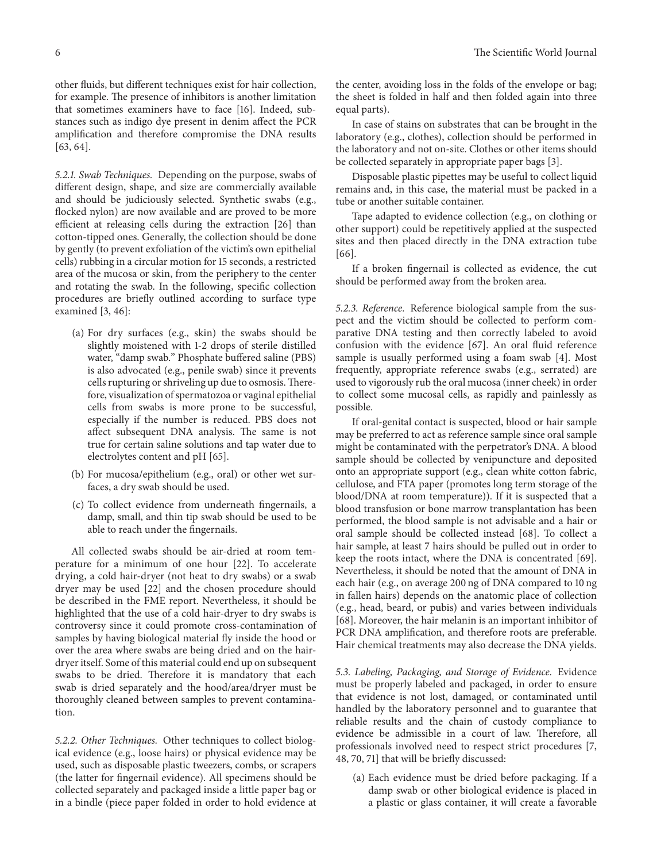other fluids, but different techniques exist for hair collection, for example. The presence of inhibitors is another limitation that sometimes examiners have to face [16]. Indeed, substances such as indigo dye present in denim affect the PCR amplification and therefore compromise the DNA results [63, 64].

*5.2.1. Swab Techniques.* Depending on the purpose, swabs of different design, shape, and size are commercially available and should be judiciously selected. Synthetic swabs (e.g., flocked nylon) are now available and are proved to be more efficient at releasing cells during the extraction [26] than cotton-tipped ones. Generally, the collection should be done by gently (to prevent exfoliation of the victim's own epithelial cells) rubbing in a circular motion for 15 seconds, a restricted area of the mucosa or skin, from the periphery to the center and rotating the swab. In the following, specific collection procedures are briefly outlined according to surface type examined [3, 46]:

- (a) For dry surfaces (e.g., skin) the swabs should be slightly moistened with 1-2 drops of sterile distilled water, "damp swab." Phosphate buffered saline (PBS) is also advocated (e.g., penile swab) since it prevents cells rupturing or shriveling up due to osmosis.Therefore, visualization of spermatozoa or vaginal epithelial cells from swabs is more prone to be successful, especially if the number is reduced. PBS does not affect subsequent DNA analysis. The same is not true for certain saline solutions and tap water due to electrolytes content and pH [65].
- (b) For mucosa/epithelium (e.g., oral) or other wet surfaces, a dry swab should be used.
- (c) To collect evidence from underneath fingernails, a damp, small, and thin tip swab should be used to be able to reach under the fingernails.

All collected swabs should be air-dried at room temperature for a minimum of one hour [22]. To accelerate drying, a cold hair-dryer (not heat to dry swabs) or a swab dryer may be used [22] and the chosen procedure should be described in the FME report. Nevertheless, it should be highlighted that the use of a cold hair-dryer to dry swabs is controversy since it could promote cross-contamination of samples by having biological material fly inside the hood or over the area where swabs are being dried and on the hairdryer itself. Some of this material could end up on subsequent swabs to be dried. Therefore it is mandatory that each swab is dried separately and the hood/area/dryer must be thoroughly cleaned between samples to prevent contamination.

*5.2.2. Other Techniques.* Other techniques to collect biological evidence (e.g., loose hairs) or physical evidence may be used, such as disposable plastic tweezers, combs, or scrapers (the latter for fingernail evidence). All specimens should be collected separately and packaged inside a little paper bag or in a bindle (piece paper folded in order to hold evidence at the center, avoiding loss in the folds of the envelope or bag; the sheet is folded in half and then folded again into three equal parts).

In case of stains on substrates that can be brought in the laboratory (e.g., clothes), collection should be performed in the laboratory and not on-site. Clothes or other items should be collected separately in appropriate paper bags [3].

Disposable plastic pipettes may be useful to collect liquid remains and, in this case, the material must be packed in a tube or another suitable container.

Tape adapted to evidence collection (e.g., on clothing or other support) could be repetitively applied at the suspected sites and then placed directly in the DNA extraction tube [66].

If a broken fingernail is collected as evidence, the cut should be performed away from the broken area.

*5.2.3. Reference.* Reference biological sample from the suspect and the victim should be collected to perform comparative DNA testing and then correctly labeled to avoid confusion with the evidence [67]. An oral fluid reference sample is usually performed using a foam swab [4]. Most frequently, appropriate reference swabs (e.g., serrated) are used to vigorously rub the oral mucosa (inner cheek) in order to collect some mucosal cells, as rapidly and painlessly as possible.

If oral-genital contact is suspected, blood or hair sample may be preferred to act as reference sample since oral sample might be contaminated with the perpetrator's DNA. A blood sample should be collected by venipuncture and deposited onto an appropriate support (e.g., clean white cotton fabric, cellulose, and FTA paper (promotes long term storage of the blood/DNA at room temperature)). If it is suspected that a blood transfusion or bone marrow transplantation has been performed, the blood sample is not advisable and a hair or oral sample should be collected instead [68]. To collect a hair sample, at least 7 hairs should be pulled out in order to keep the roots intact, where the DNA is concentrated [69]. Nevertheless, it should be noted that the amount of DNA in each hair (e.g., on average 200 ng of DNA compared to 10 ng in fallen hairs) depends on the anatomic place of collection (e.g., head, beard, or pubis) and varies between individuals [68]. Moreover, the hair melanin is an important inhibitor of PCR DNA amplification, and therefore roots are preferable. Hair chemical treatments may also decrease the DNA yields.

*5.3. Labeling, Packaging, and Storage of Evidence.* Evidence must be properly labeled and packaged, in order to ensure that evidence is not lost, damaged, or contaminated until handled by the laboratory personnel and to guarantee that reliable results and the chain of custody compliance to evidence be admissible in a court of law. Therefore, all professionals involved need to respect strict procedures [7, 48, 70, 71] that will be briefly discussed:

(a) Each evidence must be dried before packaging. If a damp swab or other biological evidence is placed in a plastic or glass container, it will create a favorable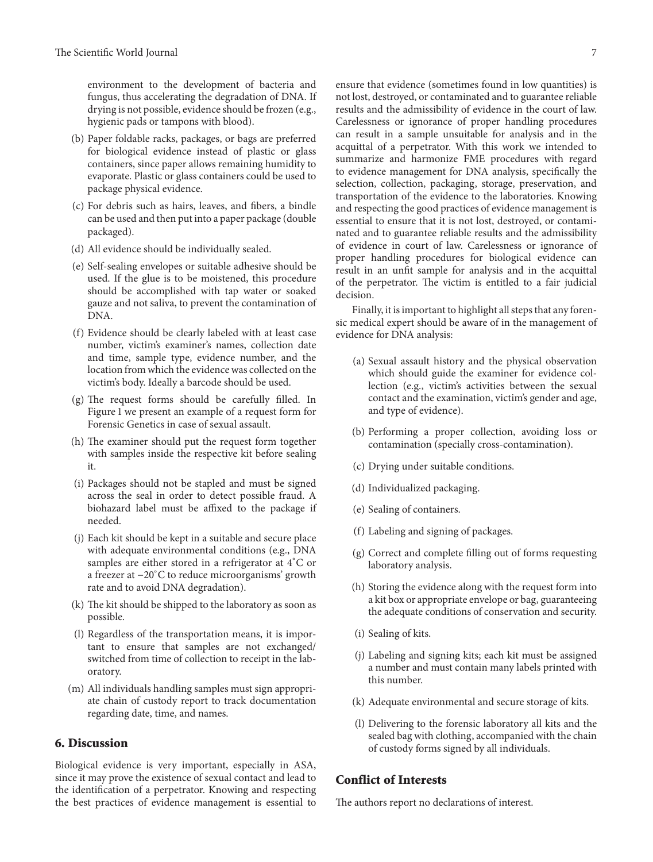environment to the development of bacteria and fungus, thus accelerating the degradation of DNA. If drying is not possible, evidence should be frozen (e.g., hygienic pads or tampons with blood).

- (b) Paper foldable racks, packages, or bags are preferred for biological evidence instead of plastic or glass containers, since paper allows remaining humidity to evaporate. Plastic or glass containers could be used to package physical evidence.
- (c) For debris such as hairs, leaves, and fibers, a bindle can be used and then put into a paper package (double packaged).
- (d) All evidence should be individually sealed.
- (e) Self-sealing envelopes or suitable adhesive should be used. If the glue is to be moistened, this procedure should be accomplished with tap water or soaked gauze and not saliva, to prevent the contamination of DNA.
- (f) Evidence should be clearly labeled with at least case number, victim's examiner's names, collection date and time, sample type, evidence number, and the location from which the evidence was collected on the victim's body. Ideally a barcode should be used.
- (g) The request forms should be carefully filled. In Figure 1 we present an example of a request form for Forensic Genetics in case of sexual assault.
- (h) The examiner should put the request form together with samples inside the respective kit before sealing it.
- (i) Packages should not be stapled and must be signed across the seal in order to detect possible fraud. A biohazard label must be affixed to the package if needed.
- (j) Each kit should be kept in a suitable and secure place with adequate environmental conditions (e.g., DNA samples are either stored in a refrigerator at 4<sup>∘</sup> C or a freezer at −20<sup>∘</sup> C to reduce microorganisms' growth rate and to avoid DNA degradation).
- (k) The kit should be shipped to the laboratory as soon as possible.
- (l) Regardless of the transportation means, it is important to ensure that samples are not exchanged/ switched from time of collection to receipt in the laboratory.
- (m) All individuals handling samples must sign appropriate chain of custody report to track documentation regarding date, time, and names.

# **6. Discussion**

Biological evidence is very important, especially in ASA, since it may prove the existence of sexual contact and lead to the identification of a perpetrator. Knowing and respecting the best practices of evidence management is essential to

ensure that evidence (sometimes found in low quantities) is not lost, destroyed, or contaminated and to guarantee reliable results and the admissibility of evidence in the court of law. Carelessness or ignorance of proper handling procedures can result in a sample unsuitable for analysis and in the acquittal of a perpetrator. With this work we intended to summarize and harmonize FME procedures with regard to evidence management for DNA analysis, specifically the selection, collection, packaging, storage, preservation, and transportation of the evidence to the laboratories. Knowing and respecting the good practices of evidence management is essential to ensure that it is not lost, destroyed, or contaminated and to guarantee reliable results and the admissibility of evidence in court of law. Carelessness or ignorance of proper handling procedures for biological evidence can result in an unfit sample for analysis and in the acquittal of the perpetrator. The victim is entitled to a fair judicial decision.

Finally, it is important to highlight all steps that any forensic medical expert should be aware of in the management of evidence for DNA analysis:

- (a) Sexual assault history and the physical observation which should guide the examiner for evidence collection (e.g., victim's activities between the sexual contact and the examination, victim's gender and age, and type of evidence).
- (b) Performing a proper collection, avoiding loss or contamination (specially cross-contamination).
- (c) Drying under suitable conditions.
- (d) Individualized packaging.
- (e) Sealing of containers.
- (f) Labeling and signing of packages.
- (g) Correct and complete filling out of forms requesting laboratory analysis.
- (h) Storing the evidence along with the request form into a kit box or appropriate envelope or bag, guaranteeing the adequate conditions of conservation and security.
- (i) Sealing of kits.
- (j) Labeling and signing kits; each kit must be assigned a number and must contain many labels printed with this number.
- (k) Adequate environmental and secure storage of kits.
- (l) Delivering to the forensic laboratory all kits and the sealed bag with clothing, accompanied with the chain of custody forms signed by all individuals.

#### **Conflict of Interests**

The authors report no declarations of interest.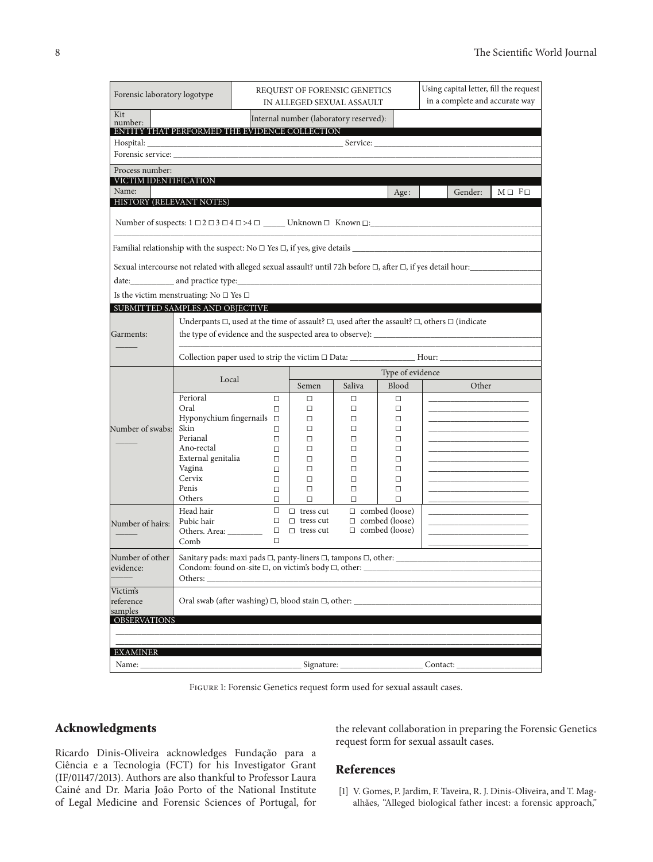| Forensic laboratory logotype      |                                                                                                                    | REQUEST OF FORENSIC GENETICS<br>IN ALLEGED SEXUAL ASSAULT |                  |        |                       | Using capital letter, fill the request<br>in a complete and accurate way |                 |  |  |
|-----------------------------------|--------------------------------------------------------------------------------------------------------------------|-----------------------------------------------------------|------------------|--------|-----------------------|--------------------------------------------------------------------------|-----------------|--|--|
| Kit<br>number:                    | Internal number (laboratory reserved):                                                                             |                                                           |                  |        |                       |                                                                          |                 |  |  |
|                                   | ENTITY THAT PERFORMED THE EVIDENCE COLLECTION                                                                      |                                                           |                  |        |                       |                                                                          |                 |  |  |
|                                   |                                                                                                                    |                                                           |                  |        |                       |                                                                          |                 |  |  |
| Process number:                   |                                                                                                                    |                                                           |                  |        |                       |                                                                          |                 |  |  |
| VICTIM IDENTIFICATION             |                                                                                                                    |                                                           |                  |        |                       |                                                                          |                 |  |  |
| Name:<br>HISTORY (RELEVANT NOTES) |                                                                                                                    |                                                           |                  |        | Age:                  | Gender:                                                                  | $M \Box F \Box$ |  |  |
|                                   |                                                                                                                    |                                                           |                  |        |                       |                                                                          |                 |  |  |
|                                   | Number of suspects: $1 \square 2 \square 3 \square 4 \square > 4 \square$ Unknown $\square$ Known $\square$ :      |                                                           |                  |        |                       |                                                                          |                 |  |  |
|                                   |                                                                                                                    |                                                           |                  |        |                       |                                                                          |                 |  |  |
|                                   |                                                                                                                    |                                                           |                  |        |                       |                                                                          |                 |  |  |
|                                   |                                                                                                                    |                                                           |                  |        |                       |                                                                          |                 |  |  |
|                                   | Is the victim menstruating: No $\square$ Yes $\square$                                                             |                                                           |                  |        |                       |                                                                          |                 |  |  |
|                                   | SUBMITTED SAMPLES AND OBJECTIVE                                                                                    |                                                           |                  |        |                       |                                                                          |                 |  |  |
|                                   | Underpants $\Box$ , used at the time of assault? $\Box$ , used after the assault? $\Box$ , others $\Box$ (indicate |                                                           |                  |        |                       |                                                                          |                 |  |  |
| Garments:                         |                                                                                                                    |                                                           |                  |        |                       |                                                                          |                 |  |  |
|                                   |                                                                                                                    |                                                           |                  |        |                       |                                                                          |                 |  |  |
|                                   | Collection paper used to strip the victim □ Data: _________________Hour: __________________________                |                                                           |                  |        |                       |                                                                          |                 |  |  |
|                                   | Type of evidence                                                                                                   |                                                           |                  |        |                       |                                                                          |                 |  |  |
|                                   | Local                                                                                                              |                                                           | Semen            | Saliva | Blood                 |                                                                          | Other           |  |  |
|                                   | Perioral                                                                                                           | $\Box$                                                    | □                | $\Box$ | □                     |                                                                          |                 |  |  |
|                                   | Oral                                                                                                               | $\Box$                                                    | □                | □      | □                     |                                                                          |                 |  |  |
|                                   | Hyponychium fingernails $\Box$                                                                                     |                                                           | □                | □      | □                     |                                                                          |                 |  |  |
| Number of swabs:                  | Skin                                                                                                               | $\Box$                                                    | □                | □      | □                     |                                                                          |                 |  |  |
|                                   | Perianal                                                                                                           | $\Box$                                                    | □                | □      | □                     |                                                                          |                 |  |  |
|                                   | Ano-rectal                                                                                                         | □                                                         | □                | □      | □                     |                                                                          |                 |  |  |
|                                   | External genitalia                                                                                                 | $\Box$                                                    | □                | □      | □                     |                                                                          |                 |  |  |
|                                   | Vagina                                                                                                             | $\Box$                                                    | □                | □      | □                     |                                                                          |                 |  |  |
|                                   | Cervix                                                                                                             | $\Box$                                                    | □                | □      | □                     |                                                                          |                 |  |  |
|                                   | Penis                                                                                                              | $\Box$                                                    | □                | □      | □                     |                                                                          |                 |  |  |
|                                   | Others                                                                                                             | $\Box$                                                    | □                | □      | □                     |                                                                          |                 |  |  |
|                                   | Head hair                                                                                                          | $\Box$                                                    | $\Box$ tress cut |        | $\Box$ combed (loose) |                                                                          |                 |  |  |
| Number of hairs:                  | Pubic hair                                                                                                         | $\Box$<br>$\Box$ combed (loose)<br>$\Box$ tress cut       |                  |        |                       |                                                                          |                 |  |  |
|                                   | $\Box$ combed (loose)<br>$\Box$<br>$\Box$ tress cut                                                                |                                                           |                  |        |                       |                                                                          |                 |  |  |
|                                   | Comb                                                                                                               | $\Box$                                                    |                  |        |                       |                                                                          |                 |  |  |
| Number of other                   |                                                                                                                    |                                                           |                  |        |                       |                                                                          |                 |  |  |
| evidence:                         |                                                                                                                    |                                                           |                  |        |                       |                                                                          |                 |  |  |
|                                   | Condom: found on-site $\square$ , on victim's body $\square$ , other:<br>Others: $\_\_$                            |                                                           |                  |        |                       |                                                                          |                 |  |  |
|                                   |                                                                                                                    |                                                           |                  |        |                       |                                                                          |                 |  |  |
|                                   | Victim's                                                                                                           |                                                           |                  |        |                       |                                                                          |                 |  |  |
| reference<br>samples              |                                                                                                                    |                                                           |                  |        |                       |                                                                          |                 |  |  |
| <b>OBSERVATIONS</b>               |                                                                                                                    |                                                           |                  |        |                       |                                                                          |                 |  |  |
|                                   |                                                                                                                    |                                                           |                  |        |                       |                                                                          |                 |  |  |
|                                   |                                                                                                                    |                                                           |                  |        |                       |                                                                          |                 |  |  |
| <b>EXAMINER</b>                   |                                                                                                                    |                                                           |                  |        |                       |                                                                          |                 |  |  |
| Name:                             |                                                                                                                    |                                                           | Signature:       |        |                       | Contact: _                                                               |                 |  |  |
|                                   |                                                                                                                    |                                                           |                  |        |                       |                                                                          |                 |  |  |

Figure 1: Forensic Genetics request form used for sexual assault cases.

### **Acknowledgments**

Ricardo Dinis-Oliveira acknowledges Fundação para a Ciência e a Tecnologia (FCT) for his Investigator Grant (IF/01147/2013). Authors are also thankful to Professor Laura Cainé and Dr. Maria João Porto of the National Institute of Legal Medicine and Forensic Sciences of Portugal, for

#### the relevant collaboration in preparing the Forensic Genetics request form for sexual assault cases.

### **References**

[1] V. Gomes, P. Jardim, F. Taveira, R. J. Dinis-Oliveira, and T. Magalhães, "Alleged biological father incest: a forensic approach,"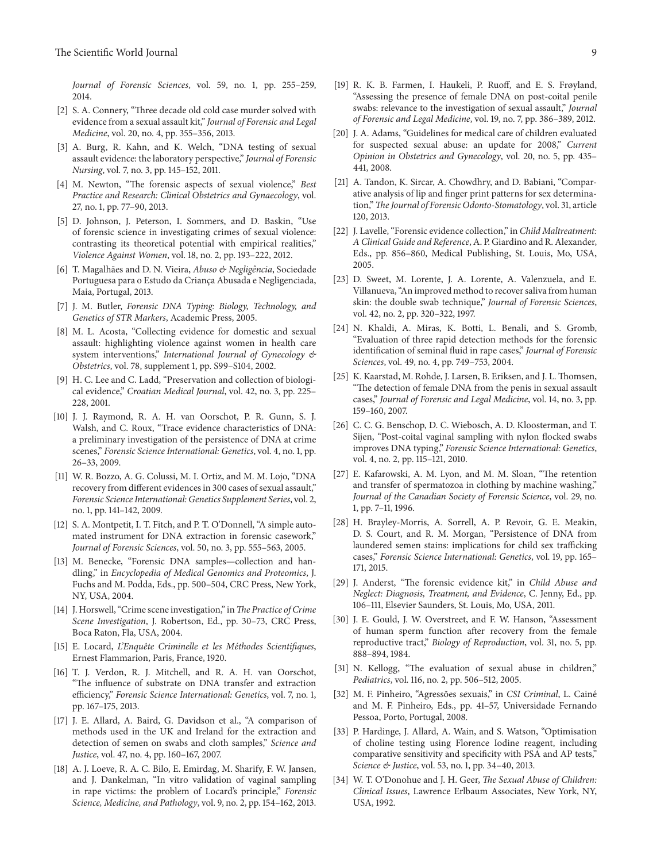*Journal of Forensic Sciences*, vol. 59, no. 1, pp. 255–259, 2014.

- [2] S. A. Connery, "Three decade old cold case murder solved with evidence from a sexual assault kit," *Journal of Forensic and Legal Medicine*, vol. 20, no. 4, pp. 355–356, 2013.
- [3] A. Burg, R. Kahn, and K. Welch, "DNA testing of sexual assault evidence: the laboratory perspective," *Journal of Forensic Nursing*, vol. 7, no. 3, pp. 145–152, 2011.
- [4] M. Newton, "The forensic aspects of sexual violence," *Best Practice and Research: Clinical Obstetrics and Gynaecology*, vol. 27, no. 1, pp. 77–90, 2013.
- [5] D. Johnson, J. Peterson, I. Sommers, and D. Baskin, "Use of forensic science in investigating crimes of sexual violence: contrasting its theoretical potential with empirical realities," *Violence Against Women*, vol. 18, no. 2, pp. 193–222, 2012.
- [6] T. Magalhães and D. N. Vieira, Abuso & Negligência, Sociedade Portuguesa para o Estudo da Criança Abusada e Negligenciada, Maia, Portugal, 2013.
- [7] J. M. Butler, *Forensic DNA Typing: Biology, Technology, and Genetics of STR Markers*, Academic Press, 2005.
- [8] M. L. Acosta, "Collecting evidence for domestic and sexual assault: highlighting violence against women in health care system interventions," *International Journal of Gynecology & Obstetrics*, vol. 78, supplement 1, pp. S99–S104, 2002.
- [9] H. C. Lee and C. Ladd, "Preservation and collection of biological evidence," *Croatian Medical Journal*, vol. 42, no. 3, pp. 225– 228, 2001.
- [10] J. J. Raymond, R. A. H. van Oorschot, P. R. Gunn, S. J. Walsh, and C. Roux, "Trace evidence characteristics of DNA: a preliminary investigation of the persistence of DNA at crime scenes," *Forensic Science International: Genetics*, vol. 4, no. 1, pp. 26–33, 2009.
- [11] W. R. Bozzo, A. G. Colussi, M. I. Ortiz, and M. M. Lojo, "DNA recovery from different evidences in 300 cases of sexual assault," *Forensic Science International: Genetics Supplement Series*, vol. 2, no. 1, pp. 141–142, 2009.
- [12] S. A. Montpetit, I. T. Fitch, and P. T. O'Donnell, "A simple automated instrument for DNA extraction in forensic casework," *Journal of Forensic Sciences*, vol. 50, no. 3, pp. 555–563, 2005.
- [13] M. Benecke, "Forensic DNA samples-collection and handling," in *Encyclopedia of Medical Genomics and Proteomics*, J. Fuchs and M. Podda, Eds., pp. 500–504, CRC Press, New York, NY, USA, 2004.
- [14] J. Horswell, "Crime scene investigation," in*The Practice of Crime Scene Investigation*, J. Robertson, Ed., pp. 30–73, CRC Press, Boca Raton, Fla, USA, 2004.
- [15] E. Locard, *L'Enquête Criminelle et les Méthodes Scientifiques*, Ernest Flammarion, Paris, France, 1920.
- [16] T. J. Verdon, R. J. Mitchell, and R. A. H. van Oorschot, "The influence of substrate on DNA transfer and extraction efficiency," *Forensic Science International: Genetics*, vol. 7, no. 1, pp. 167–175, 2013.
- [17] J. E. Allard, A. Baird, G. Davidson et al., "A comparison of methods used in the UK and Ireland for the extraction and detection of semen on swabs and cloth samples," *Science and Justice*, vol. 47, no. 4, pp. 160–167, 2007.
- [18] A. J. Loeve, R. A. C. Bilo, E. Emirdag, M. Sharify, F. W. Jansen, and J. Dankelman, "In vitro validation of vaginal sampling in rape victims: the problem of Locard's principle," *Forensic Science, Medicine, and Pathology*, vol. 9, no. 2, pp. 154–162, 2013.
- [19] R. K. B. Farmen, I. Haukeli, P. Ruoff, and E. S. Frøyland, "Assessing the presence of female DNA on post-coital penile swabs: relevance to the investigation of sexual assault," *Journal of Forensic and Legal Medicine*, vol. 19, no. 7, pp. 386–389, 2012.
- [20] J. A. Adams, "Guidelines for medical care of children evaluated for suspected sexual abuse: an update for 2008," *Current Opinion in Obstetrics and Gynecology*, vol. 20, no. 5, pp. 435– 441, 2008.
- [21] A. Tandon, K. Sircar, A. Chowdhry, and D. Babiani, "Comparative analysis of lip and finger print patterns for sex determination,"*The Journal of Forensic Odonto-Stomatology*, vol. 31, article 120, 2013.
- [22] J. Lavelle, "Forensic evidence collection," in *Child Maltreatment: A Clinical Guide and Reference*, A. P. Giardino and R. Alexander, Eds., pp. 856–860, Medical Publishing, St. Louis, Mo, USA, 2005.
- [23] D. Sweet, M. Lorente, J. A. Lorente, A. Valenzuela, and E. Villanueva, "An improved method to recover saliva from human skin: the double swab technique," *Journal of Forensic Sciences*, vol. 42, no. 2, pp. 320–322, 1997.
- [24] N. Khaldi, A. Miras, K. Botti, L. Benali, and S. Gromb, "Evaluation of three rapid detection methods for the forensic identification of seminal fluid in rape cases," *Journal of Forensic Sciences*, vol. 49, no. 4, pp. 749–753, 2004.
- [25] K. Kaarstad, M. Rohde, J. Larsen, B. Eriksen, and J. L. Thomsen, "The detection of female DNA from the penis in sexual assault cases," *Journal of Forensic and Legal Medicine*, vol. 14, no. 3, pp. 159–160, 2007.
- [26] C. C. G. Benschop, D. C. Wiebosch, A. D. Kloosterman, and T. Sijen, "Post-coital vaginal sampling with nylon flocked swabs improves DNA typing," *Forensic Science International: Genetics*, vol. 4, no. 2, pp. 115–121, 2010.
- [27] E. Kafarowski, A. M. Lyon, and M. M. Sloan, "The retention and transfer of spermatozoa in clothing by machine washing," *Journal of the Canadian Society of Forensic Science*, vol. 29, no. 1, pp. 7–11, 1996.
- [28] H. Brayley-Morris, A. Sorrell, A. P. Revoir, G. E. Meakin, D. S. Court, and R. M. Morgan, "Persistence of DNA from laundered semen stains: implications for child sex trafficking cases," *Forensic Science International: Genetics*, vol. 19, pp. 165– 171, 2015.
- [29] J. Anderst, "The forensic evidence kit," in *Child Abuse and Neglect: Diagnosis, Treatment, and Evidence*, C. Jenny, Ed., pp. 106–111, Elsevier Saunders, St. Louis, Mo, USA, 2011.
- [30] J. E. Gould, J. W. Overstreet, and F. W. Hanson, "Assessment of human sperm function after recovery from the female reproductive tract," *Biology of Reproduction*, vol. 31, no. 5, pp. 888–894, 1984.
- [31] N. Kellogg, "The evaluation of sexual abuse in children," *Pediatrics*, vol. 116, no. 2, pp. 506–512, 2005.
- [32] M. F. Pinheiro, "Agressões sexuais," in CSI Criminal, L. Cainé and M. F. Pinheiro, Eds., pp. 41–57, Universidade Fernando Pessoa, Porto, Portugal, 2008.
- [33] P. Hardinge, J. Allard, A. Wain, and S. Watson, "Optimisation of choline testing using Florence Iodine reagent, including comparative sensitivity and specificity with PSA and AP tests," *Science & Justice*, vol. 53, no. 1, pp. 34–40, 2013.
- [34] W. T. O'Donohue and J. H. Geer, *The Sexual Abuse of Children: Clinical Issues*, Lawrence Erlbaum Associates, New York, NY, USA, 1992.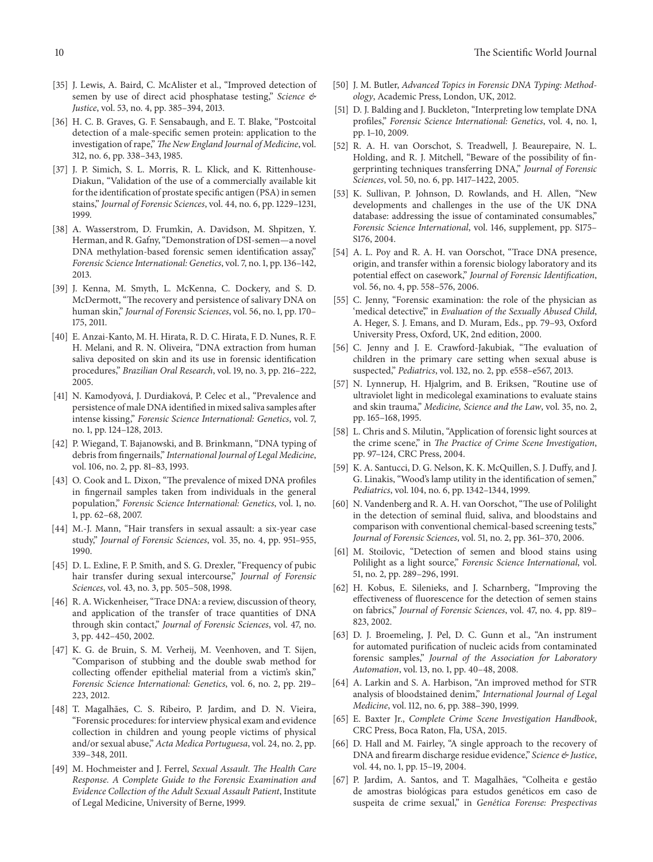- [35] J. Lewis, A. Baird, C. McAlister et al., "Improved detection of semen by use of direct acid phosphatase testing," *Science & Justice*, vol. 53, no. 4, pp. 385–394, 2013.
- [36] H. C. B. Graves, G. F. Sensabaugh, and E. T. Blake, "Postcoital detection of a male-specific semen protein: application to the investigation of rape," *The New England Journal of Medicine*, vol. 312, no. 6, pp. 338–343, 1985.
- [37] J. P. Simich, S. L. Morris, R. L. Klick, and K. Rittenhouse-Diakun, "Validation of the use of a commercially available kit for the identification of prostate specific antigen (PSA) in semen stains," *Journal of Forensic Sciences*, vol. 44, no. 6, pp. 1229–1231, 1999.
- [38] A. Wasserstrom, D. Frumkin, A. Davidson, M. Shpitzen, Y. Herman, and R. Gafny, "Demonstration of DSI-semen—a novel DNA methylation-based forensic semen identification assay," *Forensic Science International: Genetics*, vol. 7, no. 1, pp. 136–142, 2013.
- [39] J. Kenna, M. Smyth, L. McKenna, C. Dockery, and S. D. McDermott, "The recovery and persistence of salivary DNA on human skin," *Journal of Forensic Sciences*, vol. 56, no. 1, pp. 170– 175, 2011.
- [40] E. Anzai-Kanto, M. H. Hirata, R. D. C. Hirata, F. D. Nunes, R. F. H. Melani, and R. N. Oliveira, "DNA extraction from human saliva deposited on skin and its use in forensic identification procedures," *Brazilian Oral Research*, vol. 19, no. 3, pp. 216–222, 2005.
- [41] N. Kamodyová, J. Durdiaková, P. Celec et al., "Prevalence and persistence of male DNA identified in mixed saliva samples after intense kissing," *Forensic Science International: Genetics*, vol. 7, no. 1, pp. 124–128, 2013.
- [42] P. Wiegand, T. Bajanowski, and B. Brinkmann, "DNA typing of debris from fingernails," *International Journal of Legal Medicine*, vol. 106, no. 2, pp. 81–83, 1993.
- [43] O. Cook and L. Dixon, "The prevalence of mixed DNA profiles in fingernail samples taken from individuals in the general population," *Forensic Science International: Genetics*, vol. 1, no. 1, pp. 62–68, 2007.
- [44] M.-J. Mann, "Hair transfers in sexual assault: a six-year case study," *Journal of Forensic Sciences*, vol. 35, no. 4, pp. 951–955, 1990.
- [45] D. L. Exline, F. P. Smith, and S. G. Drexler, "Frequency of pubic hair transfer during sexual intercourse," *Journal of Forensic Sciences*, vol. 43, no. 3, pp. 505–508, 1998.
- [46] R. A. Wickenheiser, "Trace DNA: a review, discussion of theory, and application of the transfer of trace quantities of DNA through skin contact," *Journal of Forensic Sciences*, vol. 47, no. 3, pp. 442–450, 2002.
- [47] K. G. de Bruin, S. M. Verheij, M. Veenhoven, and T. Sijen, "Comparison of stubbing and the double swab method for collecting offender epithelial material from a victim's skin," *Forensic Science International: Genetics*, vol. 6, no. 2, pp. 219– 223, 2012.
- [48] T. Magalhães, C. S. Ribeiro, P. Jardim, and D. N. Vieira, "Forensic procedures: for interview physical exam and evidence collection in children and young people victims of physical and/or sexual abuse," *Acta Medica Portuguesa*, vol. 24, no. 2, pp. 339–348, 2011.
- [49] M. Hochmeister and J. Ferrel, *Sexual Assault. The Health Care Response. A Complete Guide to the Forensic Examination and Evidence Collection of the Adult Sexual Assault Patient*, Institute of Legal Medicine, University of Berne, 1999.
- [50] J. M. Butler, *Advanced Topics in Forensic DNA Typing: Methodology*, Academic Press, London, UK, 2012.
- [51] D. J. Balding and J. Buckleton, "Interpreting low template DNA profiles," *Forensic Science International: Genetics*, vol. 4, no. 1, pp. 1–10, 2009.
- [52] R. A. H. van Oorschot, S. Treadwell, J. Beaurepaire, N. L. Holding, and R. J. Mitchell, "Beware of the possibility of fingerprinting techniques transferring DNA," *Journal of Forensic Sciences*, vol. 50, no. 6, pp. 1417–1422, 2005.
- [53] K. Sullivan, P. Johnson, D. Rowlands, and H. Allen, "New developments and challenges in the use of the UK DNA database: addressing the issue of contaminated consumables," *Forensic Science International*, vol. 146, supplement, pp. S175– S176, 2004.
- [54] A. L. Poy and R. A. H. van Oorschot, "Trace DNA presence, origin, and transfer within a forensic biology laboratory and its potential effect on casework," *Journal of Forensic Identification*, vol. 56, no. 4, pp. 558–576, 2006.
- [55] C. Jenny, "Forensic examination: the role of the physician as 'medical detective" in *Evaluation of the Sexually Abused Child*, A. Heger, S. J. Emans, and D. Muram, Eds., pp. 79–93, Oxford University Press, Oxford, UK, 2nd edition, 2000.
- [56] C. Jenny and J. E. Crawford-Jakubiak, "The evaluation of children in the primary care setting when sexual abuse is suspected," *Pediatrics*, vol. 132, no. 2, pp. e558–e567, 2013.
- [57] N. Lynnerup, H. Hjalgrim, and B. Eriksen, "Routine use of ultraviolet light in medicolegal examinations to evaluate stains and skin trauma," *Medicine, Science and the Law*, vol. 35, no. 2, pp. 165–168, 1995.
- [58] L. Chris and S. Milutin, "Application of forensic light sources at the crime scene," in *The Practice of Crime Scene Investigation*, pp. 97–124, CRC Press, 2004.
- [59] K. A. Santucci, D. G. Nelson, K. K. McQuillen, S. J. Duffy, and J. G. Linakis, "Wood's lamp utility in the identification of semen," *Pediatrics*, vol. 104, no. 6, pp. 1342–1344, 1999.
- [60] N. Vandenberg and R. A. H. van Oorschot, "The use of Polilight in the detection of seminal fluid, saliva, and bloodstains and comparison with conventional chemical-based screening tests," *Journal of Forensic Sciences*, vol. 51, no. 2, pp. 361–370, 2006.
- [61] M. Stoilovic, "Detection of semen and blood stains using Polilight as a light source," *Forensic Science International*, vol. 51, no. 2, pp. 289–296, 1991.
- [62] H. Kobus, E. Silenieks, and J. Scharnberg, "Improving the effectiveness of fluorescence for the detection of semen stains on fabrics," *Journal of Forensic Sciences*, vol. 47, no. 4, pp. 819– 823, 2002.
- [63] D. J. Broemeling, J. Pel, D. C. Gunn et al., "An instrument for automated purification of nucleic acids from contaminated forensic samples," *Journal of the Association for Laboratory Automation*, vol. 13, no. 1, pp. 40–48, 2008.
- [64] A. Larkin and S. A. Harbison, "An improved method for STR analysis of bloodstained denim," *International Journal of Legal Medicine*, vol. 112, no. 6, pp. 388–390, 1999.
- [65] E. Baxter Jr., *Complete Crime Scene Investigation Handbook*, CRC Press, Boca Raton, Fla, USA, 2015.
- [66] D. Hall and M. Fairley, "A single approach to the recovery of DNA and firearm discharge residue evidence," *Science & Justice*, vol. 44, no. 1, pp. 15–19, 2004.
- [67] P. Jardim, A. Santos, and T. Magalhães, "Colheita e gestão de amostras biológicas para estudos genéticos em caso de suspeita de crime sexual," in *Genetica Forense: Prespectivas ´*